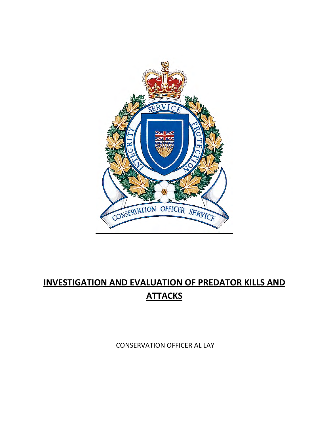

# **INVESTIGATION AND EVALUATION OF PREDATOR KILLS AND ATTACKS**

CONSERVATION OFFICER AL LAY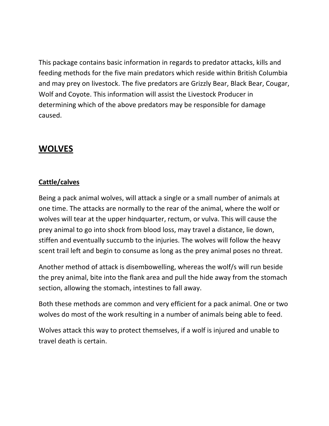This package contains basic information in regards to predator attacks, kills and feeding methods for the five main predators which reside within British Columbia and may prey on livestock. The five predators are Grizzly Bear, Black Bear, Cougar, Wolf and Coyote. This information will assist the Livestock Producer in determining which of the above predators may be responsible for damage caused.

### **WOLVES**

#### **Cattle/calves**

Being a pack animal wolves, will attack a single or a small number of animals at one time. The attacks are normally to the rear of the animal, where the wolf or wolves will tear at the upper hindquarter, rectum, or vulva. This will cause the prey animal to go into shock from blood loss, may travel a distance, lie down, stiffen and eventually succumb to the injuries. The wolves will follow the heavy scent trail left and begin to consume as long as the prey animal poses no threat.

Another method of attack is disembowelling, whereas the wolf/s will run beside the prey animal, bite into the flank area and pull the hide away from the stomach section, allowing the stomach, intestines to fall away.

Both these methods are common and very efficient for a pack animal. One or two wolves do most of the work resulting in a number of animals being able to feed.

Wolves attack this way to protect themselves, if a wolf is injured and unable to travel death is certain.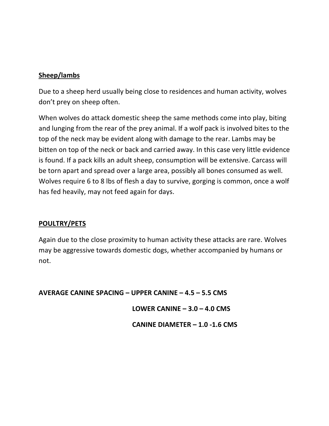#### Sheep/lambs

Due to a sheep herd usually being close to residences and human activity, wolves don't prey on sheep often.

When wolves do attack domestic sheep the same methods come into play, biting and lunging from the rear of the prey animal. If a wolf pack is involved bites to the top of the neck may be evident along with damage to the rear. Lambs may be bitten on top of the neck or back and carried away. In this case very little evidence is found. If a pack kills an adult sheep, consumption will be extensive. Carcass will be torn apart and spread over a large area, possibly all bones consumed as well. Wolves require 6 to 8 lbs of flesh a day to survive, gorging is common, once a wolf has fed heavily, may not feed again for days.

#### **POULTRY/PETS**

Again due to the close proximity to human activity these attacks are rare. Wolves may be aggressive towards domestic dogs, whether accompanied by humans or not.

AVERAGE CANINE SPACING - UPPER CANINE - 4.5 - 5.5 CMS

LOWER CANINE  $-3.0 - 4.0$  CMS

**CANINE DIAMETER - 1.0 -1.6 CMS**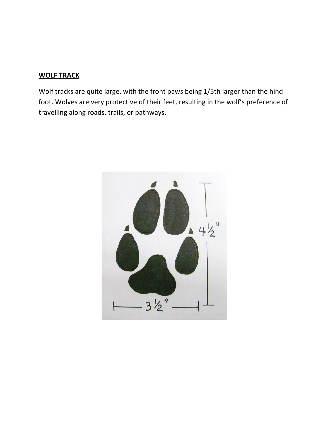#### **WOLF TRACK**

Wolf tracks are quite large, with the front paws being 1/5th larger than the hind foot. Wolves are very protective of their feet, resulting in the wolf's preference of travelling along roads, trails, or pathways.

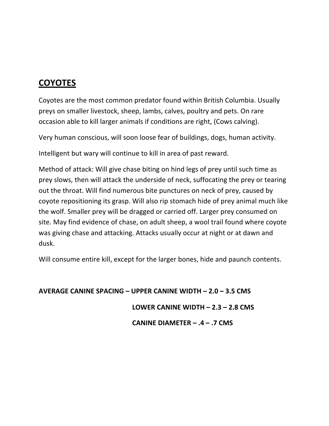## **COYOTES**

Coyotes are the most common predator found within British Columbia. Usually preys on smaller livestock, sheep, lambs, calves, poultry and pets. On rare occasion able to kill larger animals if conditions are right, (Cows calving).

Very human conscious, will soon loose fear of buildings, dogs, human activity.

Intelligent but wary will continue to kill in area of past reward.

Method of attack: Will give chase biting on hind legs of prey until such time as prey slows, then will attack the underside of neck, suffocating the prey or tearing out the throat. Will find numerous bite punctures on neck of prey, caused by coyote repositioning its grasp. Will also rip stomach hide of prey animal much like the wolf. Smaller prey will be dragged or carried off. Larger prey consumed on site. May find evidence of chase, on adult sheep, a wool trail found where coyote was giving chase and attacking. Attacks usually occur at night or at dawn and dusk.

Will consume entire kill, except for the larger bones, hide and paunch contents.

**AVERAGE CANINE SPACING – UPPER CANINE WIDTH – 2.0 – 3.5 CMS** 

**!!!!!!!!!!!!!!!!!!!!!!!!!!!!!!!!!!!!!!!!!!!!!!!!!!!!!!!LOWER!CANINE!WIDTH!–!2.3!–!2.8!CMS**

**!!!!!!!!!!!!!!!!!!!!!!!!!!!!!!!!!!!!!!!!!!!!!!!!!!!!!!!CANINE!DIAMETER!– .4!– .7!CMS**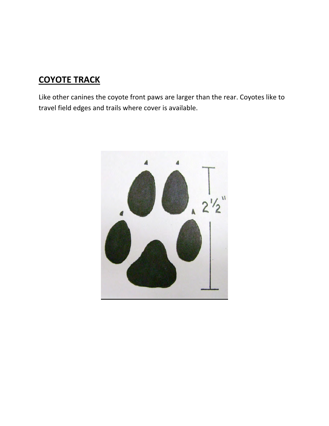# **COYOTE TRACK**

Like other canines the coyote front paws are larger than the rear. Coyotes like to travel field edges and trails where cover is available.

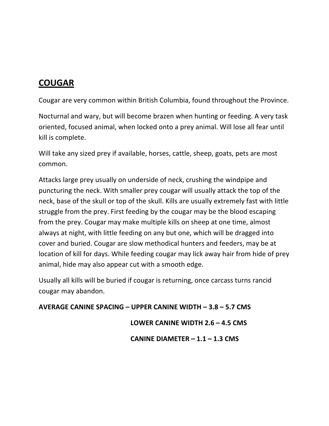## **COUGAR**

Cougar are very common within British Columbia, found throughout the Province.

Nocturnal and wary, but will become brazen when hunting or feeding. A very task oriented, focused animal, when locked onto a prey animal. Will lose all fear until kill is complete.

Will take any sized prey if available, horses, cattle, sheep, goats, pets are most common.

Attacks large prey usually on underside of neck, crushing the windpipe and puncturing the neck. With smaller prey cougar will usually attack the top of the neck, base of the skull or top of the skull. Kills are usually extremely fast with little struggle from the prey. First feeding by the cougar may be the blood escaping from the prey. Cougar may make multiple kills on sheep at one time, almost always at night, with little feeding on any but one, which will be dragged into cover and buried. Cougar are slow methodical hunters and feeders, may be at location of kill for days. While feeding cougar may lick away hair from hide of prey animal, hide may also appear cut with a smooth edge.

Usually all kills will be buried if cougar is returning, once carcass turns rancid cougar may abandon.

**AVERAGE CANINE SPACING – UPPER CANINE WIDTH – 3.8 – 5.7 CMS** 

**!!!!!!!!!!!!!!!!!!!!!!!!!!!!!!!!!!!!!!!!!!!!!!!!!!!!!!LOWER!CANINE!WIDTH!2.6!–!4.5!CMS**

**CANINE DIAMETER – 1.1 – 1.3 CMS**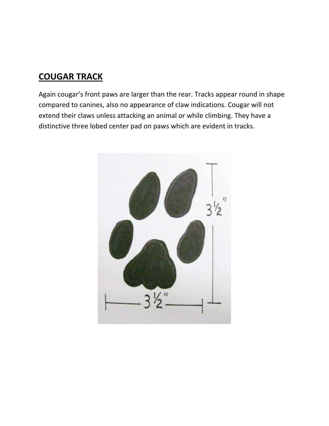### **COUGAR!TRACK**

Again cougar's front paws are larger than the rear. Tracks appear round in shape compared to canines, also no appearance of claw indications. Cougar will not extend their claws unless attacking an animal or while climbing. They have a distinctive three lobed center pad on paws which are evident in tracks.

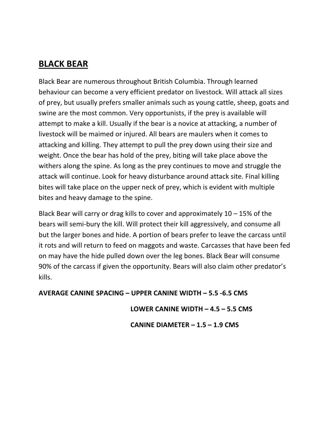### **BLACK!BEAR**

Black Bear are numerous throughout British Columbia. Through learned behaviour can become a very efficient predator on livestock. Will attack all sizes of prey, but usually prefers smaller animals such as young cattle, sheep, goats and swine are the most common. Very opportunists, if the prey is available will attempt to make a kill. Usually if the bear is a novice at attacking, a number of livestock will be maimed or injured. All bears are maulers when it comes to attacking and killing. They attempt to pull the prey down using their size and weight. Once the bear has hold of the prey, biting will take place above the withers along the spine. As long as the prey continues to move and struggle the attack will continue. Look for heavy disturbance around attack site. Final killing bites will take place on the upper neck of prey, which is evident with multiple bites and heavy damage to the spine.

Black Bear will carry or drag kills to cover and approximately  $10 - 15\%$  of the bears will semi-bury the kill. Will protect their kill aggressively, and consume all but the larger bones and hide. A portion of bears prefer to leave the carcass until it rots and will return to feed on maggots and waste. Carcasses that have been fed on may have the hide pulled down over the leg bones. Black Bear will consume 90% of the carcass if given the opportunity. Bears will also claim other predator's kills.

**AVERAGE CANINE SPACING – UPPER CANINE WIDTH – 5.5 -6.5 CMS** 

**!!!!!!!!!!!!!!!!!!!!!!!!!!!!!!!!!!!!!!!!!!!!!!!!!!!!!!LOWER!CANINE!WIDTH!–!4.5!–!5.5!CMS**

**CANINE DIAMETER – 1.5 – 1.9 CMS**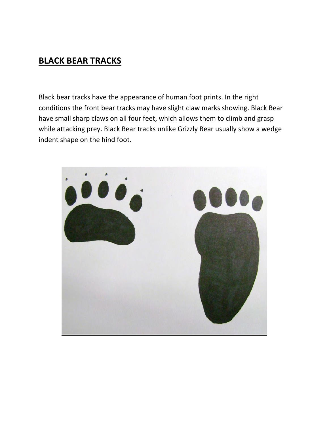### **BLACK BEAR TRACKS**

Black bear tracks have the appearance of human foot prints. In the right conditions the front bear tracks may have slight claw marks showing. Black Bear have small sharp claws on all four feet, which allows them to climb and grasp while attacking prey. Black Bear tracks unlike Grizzly Bear usually show a wedge indent shape on the hind foot.

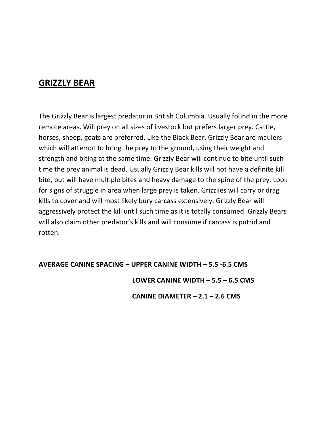### **GRIZZLY BEAR**

The Grizzly Bear is largest predator in British Columbia. Usually found in the more remote areas. Will prey on all sizes of livestock but prefers larger prey. Cattle, horses, sheep, goats are preferred. Like the Black Bear, Grizzly Bear are maulers which will attempt to bring the prey to the ground, using their weight and strength and biting at the same time. Grizzly Bear will continue to bite until such time the prey animal is dead. Usually Grizzly Bear kills will not have a definite kill bite, but will have multiple bites and heavy damage to the spine of the prey. Look for signs of struggle in area when large prey is taken. Grizzlies will carry or drag kills to cover and will most likely bury carcass extensively. Grizzly Bear will aggressively protect the kill until such time as it is totally consumed. Grizzly Bears will also claim other predator's kills and will consume if carcass is putrid and rotten.

#### **AVERAGE CANINE SPACING - UPPER CANINE WIDTH - 5.5 -6.5 CMS**

#### LOWER CANINE WIDTH  $-5.5 - 6.5$  CMS

CANINE DIAMETER  $- 2.1 - 2.6$  CMS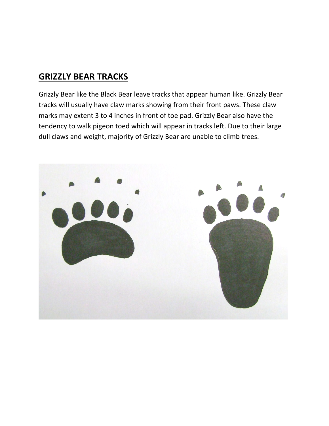### **GRIZZLY BEAR TRACKS**

Grizzly Bear like the Black Bear leave tracks that appear human like. Grizzly Bear tracks will usually have claw marks showing from their front paws. These claw marks may extent 3 to 4 inches in front of toe pad. Grizzly Bear also have the tendency to walk pigeon toed which will appear in tracks left. Due to their large dull claws and weight, majority of Grizzly Bear are unable to climb trees.